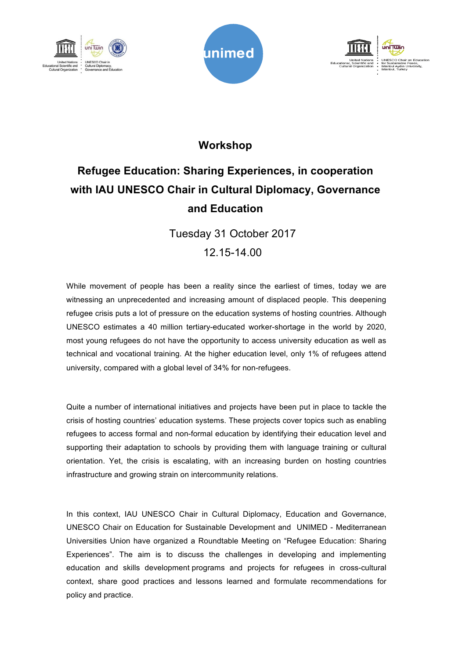





## **Workshop**

## **Refugee Education: Sharing Experiences, in cooperation with IAU UNESCO Chair in Cultural Diplomacy, Governance and Education**

Tuesday 31 October 2017

12.15-14.00

While movement of people has been a reality since the earliest of times, today we are witnessing an unprecedented and increasing amount of displaced people. This deepening refugee crisis puts a lot of pressure on the education systems of hosting countries. Although UNESCO estimates a 40 million tertiary-educated worker-shortage in the world by 2020, most young refugees do not have the opportunity to access university education as well as technical and vocational training. At the higher education level, only 1% of refugees attend university, compared with a global level of 34% for non-refugees.

Quite a number of international initiatives and projects have been put in place to tackle the crisis of hosting countries' education systems. These projects cover topics such as enabling refugees to access formal and non-formal education by identifying their education level and supporting their adaptation to schools by providing them with language training or cultural orientation. Yet, the crisis is escalating, with an increasing burden on hosting countries infrastructure and growing strain on intercommunity relations.

In this context, IAU UNESCO Chair in Cultural Diplomacy, Education and Governance, UNESCO Chair on Education for Sustainable Development and UNIMED - Mediterranean Universities Union have organized a Roundtable Meeting on "Refugee Education: Sharing Experiences". The aim is to discuss the challenges in developing and implementing education and skills development programs and projects for refugees in cross-cultural context, share good practices and lessons learned and formulate recommendations for policy and practice.